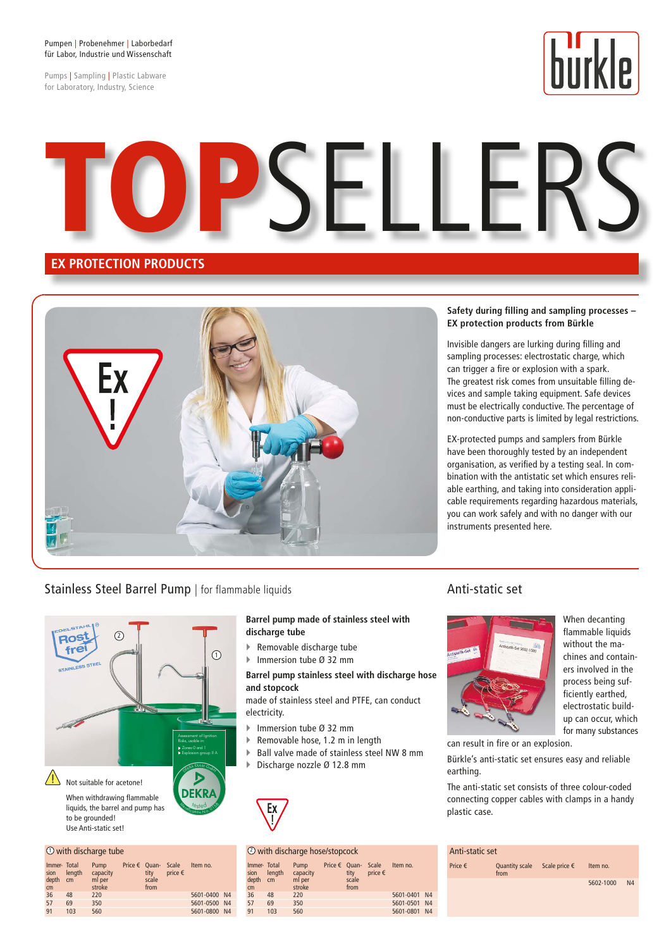Pumpen | Probenehmer | Laborbedarf für Labor, Industrie und Wissenschaft

Pumps | Sampling | Plastic Labware for Laboratory, Industry, Science



# TOPSELLERS

# **EX PROTECTION PRODUCTS**



# Stainless Steel Barrel Pump | for flammable liquids



#### $0$  with discharge tube

| Immer-Total<br>sion<br>depth<br>cm | length<br>cm | Pump<br>capacity<br>ml per<br>stroke | Price $\epsilon$ Ouan-<br>tity<br>scale<br>from | Scale<br>price $\epsilon$ | Item no.     |                |
|------------------------------------|--------------|--------------------------------------|-------------------------------------------------|---------------------------|--------------|----------------|
| 36                                 | 48           | 220                                  |                                                 |                           | 5601-0400 N4 |                |
| 57                                 | 69           | 350                                  |                                                 |                           | 5601-0500 N4 |                |
| 91                                 | 103          | 560                                  |                                                 |                           | 5601-0800    | N <sub>4</sub> |

#### **Barrel pump made of stainless steel with discharge tube**

- ▶ Removable discharge tube
- $\blacktriangleright$  Immersion tube Ø 32 mm

#### **Barrel pump stainless steel with discharge hose and stopcock**

made of stainless steel and PTFE, can conduct electricity.

- ▶ Immersion tube Ø 32 mm
- $\triangleright$  Removable hose, 1.2 m in length
- ▶ Ball valve made of stainless steel NW 8 mm
- ▶ Discharge nozzle Ø 12.8 mm



#### 2 with discharge hose/stopcock

| Immer-Total<br>sion<br>depth<br>cm | length<br>cm | Pump<br>capacity<br>ml per<br>stroke | Price $€$ Ouan- Scale<br>tity<br>scale<br>from | price $\epsilon$ | Item no.  |                |
|------------------------------------|--------------|--------------------------------------|------------------------------------------------|------------------|-----------|----------------|
| 36                                 | 48           | 220                                  |                                                |                  | 5601-0401 | N <sub>4</sub> |
| 57                                 | 69           | 350                                  |                                                |                  | 5601-0501 | N <sub>4</sub> |
| 91                                 | 103          | 560                                  |                                                |                  | 5601-0801 | N <sub>4</sub> |
|                                    |              |                                      |                                                |                  |           |                |

#### Safety during filling and sampling processes -**EX protection products from Bürkle**

Invisible dangers are lurking during filling and sampling processes: electrostatic charge, which can trigger a fire or explosion with a spark. The greatest risk comes from unsuitable filling devices and sample taking equipment. Safe devices must be electrically conductive. The percentage of non-conductive parts is limited by legal restrictions.

EX-protected pumps and samplers from Bürkle have been thoroughly tested by an independent organisation, as verified by a testing seal. In combination with the antistatic set which ensures reliable earthing, and taking into consideration applicable requirements regarding hazardous materials, you can work safely and with no danger with our instruments presented here.

## Anti-static set



When decanting flammable liquids without the machines and containers involved in the process being sufficiently earthed, electrostatic buildup can occur, which for many substances

can result in fire or an explosion.

Bürkle's anti-static set ensures easy and reliable earthing.

The anti-static set consists of three colour-coded connecting copper cables with clamps in a handy plastic case.

| Anti-static set  |                               |                        |           |                |
|------------------|-------------------------------|------------------------|-----------|----------------|
| Price $\epsilon$ | <b>Quantity scale</b><br>from | Scale price $\epsilon$ | Item no.  |                |
|                  |                               |                        | 5602-1000 | N <sub>4</sub> |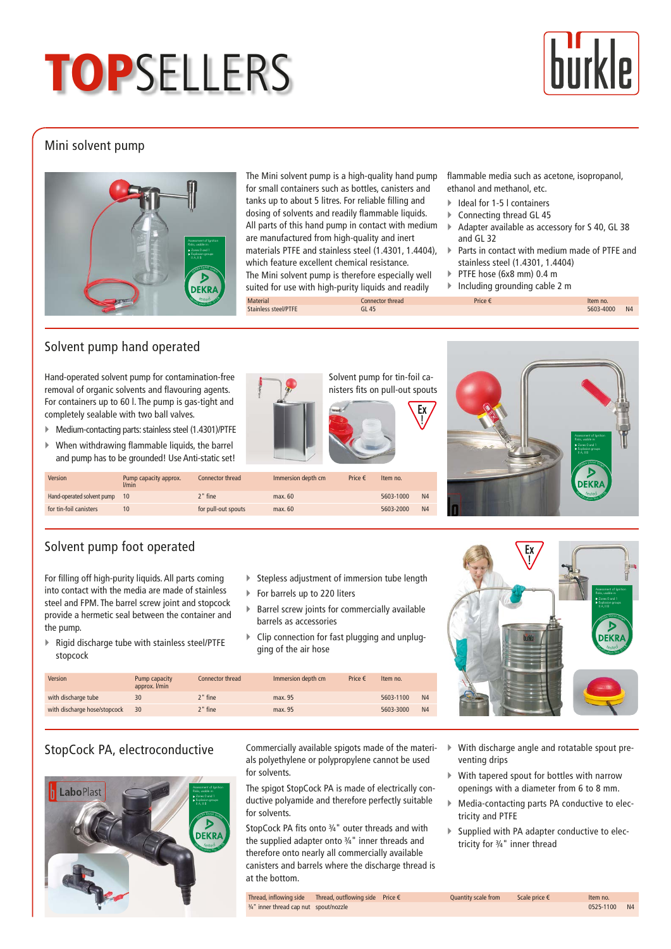# **TOPSELLERS**





The Mini solvent pump is a high-quality hand pump for small containers such as bottles, canisters and tanks up to about 5 litres. For reliable filling and dosing of solvents and readily flammable liquids. All parts of this hand pump in contact with medium are manufactured from high-quality and inert materials PTFE and stainless steel (1.4301, 1.4404), which feature excellent chemical resistance. The Mini solvent pump is therefore especially well suited for use with high-purity liquids and readily Material Connector thread Price € Item no.<br>
Stainless steel/PTFE GL45 GL45 CH45 Stainless steel/PTFE 6 603-4000 GL 45 6603-4000 GL 45

flammable media such as acetone, isopropanol, ethanol and methanol, etc.

- ▶ Ideal for 1-5 l containers
- Connecting thread GL 45
- Adapter available as accessory for S 40, GL 38 and GL 32
- ` Parts in contact with medium made of PTFE and stainless steel (1.4301, 1.4404)
- PTFE hose (6x8 mm) 0.4 m
- ` Including grounding cable 2 m

**hiirkle** 

# Solvent pump hand operated

Hand-operated solvent pump for contamination-free removal of organic solvents and flavouring agents. For containers up to 60 l. The pump is gas-tight and completely sealable with two ball valves.

- ` Medium-contacting parts: stainless steel (1.4301)/PTFE
- $\triangleright$  When withdrawing flammable liquids, the barrel and pump has to be grounded! Use Anti-static set!

|                    | Solvent pump for tin-foil ca-<br>nisters fits on pull-out spouts |    |  |
|--------------------|------------------------------------------------------------------|----|--|
|                    |                                                                  | ΕX |  |
| Immersion depth cm | Price $\epsilon$<br>Item no.                                     |    |  |



| <b>Version</b>             | Pump capacity approx.<br>l/min | Connector thread    | Immersion depth cm | Price $\epsilon$ | Item no.  |                |
|----------------------------|--------------------------------|---------------------|--------------------|------------------|-----------|----------------|
| Hand-operated solvent pump | 10                             | $2"$ fine           | max. 60            |                  | 5603-1000 | N <sub>4</sub> |
| for tin-foil canisters     | 10                             | for pull-out spouts | max. 60            |                  | 5603-2000 | N <sub>4</sub> |

# Solvent pump foot operated

For filling off high-purity liquids. All parts coming into contact with the media are made of stainless steel and FPM. The barrel screw joint and stopcock provide a hermetic seal between the container and the pump.

 $\triangleright$  Rigid discharge tube with stainless steel/PTFE

stopcock

- $\triangleright$  Stepless adjustment of immersion tube length
- $\blacktriangleright$  For barrels up to 220 liters
- $\triangleright$  Barrel screw joints for commercially available barrels as accessories
- $\triangleright$  Clip connection for fast plugging and unplugging of the air hose

| $\overline{F_X}$ |                                                                                                                                                          |
|------------------|----------------------------------------------------------------------------------------------------------------------------------------------------------|
|                  | Assessment of Ignition<br>Risks, usable in:<br>$\blacktriangleright$ Zones 0 and 1<br>$\triangleright$ Explosion groups<br>$II A, II B$<br><b>XAM G.</b> |
| burkle           | <b>DEKRA</b>                                                                                                                                             |
|                  |                                                                                                                                                          |

| Version                      | Pump capacity<br>approx. I/min | Connector thread | Immersion depth cm | Price $\epsilon$ | Item no.  |                |
|------------------------------|--------------------------------|------------------|--------------------|------------------|-----------|----------------|
| with discharge tube          | 30                             | $2"$ fine        | max. 95            |                  | 5603-1100 | N <sub>4</sub> |
| with discharge hose/stopcock | 30                             | $2"$ fine        | max. 95            |                  | 5603-3000 | N <sub>4</sub> |
|                              |                                |                  |                    |                  |           |                |

# StopCock PA, electroconductive



Commercially available spigots made of the materials polyethylene or polypropylene cannot be used for solvents.

The spigot StopCock PA is made of electrically conductive polyamide and therefore perfectly suitable for solvents.

StopCock PA fits onto 3/4" outer threads and with the supplied adapter onto ¾" inner threads and therefore onto nearly all commercially available canisters and barrels where the discharge thread is at the bottom.

Thread, inflowing side Thread, outflowing side Price  $\epsilon$  Quantity scale from Scale price  $\epsilon$  Item no. ¾" inner thread cap nut spout/nozzle 0525-1100 N4

- ` With discharge angle and rotatable spout preventing drips
- $\triangleright$  With tapered spout for bottles with narrow openings with a diameter from 6 to 8 mm.
- ` Media-contacting parts PA conductive to electricity and PTFE
- ` Supplied with PA adapter conductive to electricity for ¾" inner thread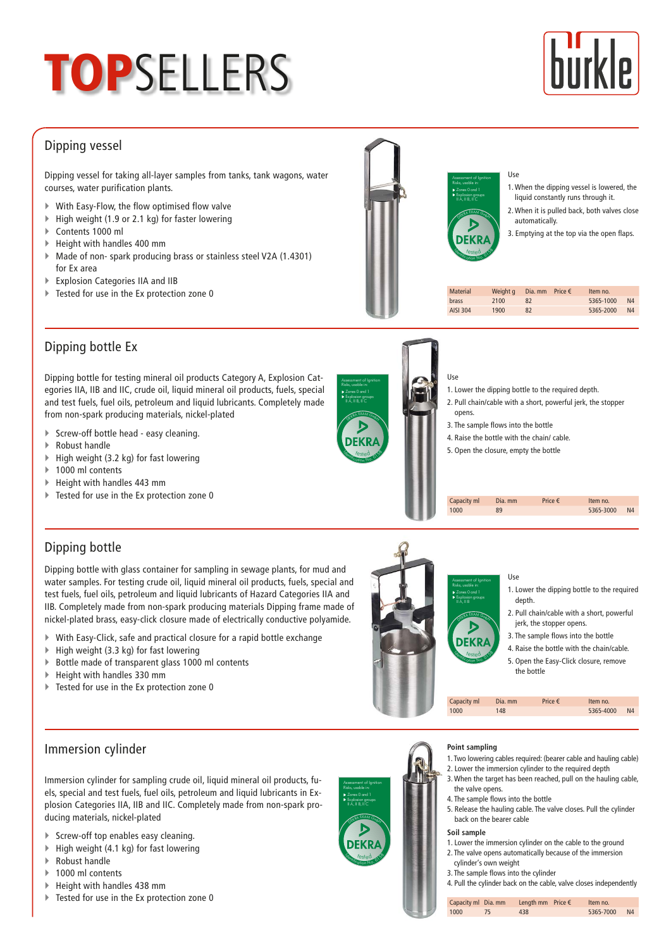# **TOPSELLERS**



# Dipping vessel

Dipping vessel for taking all-layer samples from tanks, tank wagons, water courses, water purification plants.

- $\triangleright$  With Easy-Flow, the flow optimised flow valve
- $\triangleright$  High weight (1.9 or 2.1 kg) for faster lowering
- ▶ Contents 1000 ml
- $\blacktriangleright$  Height with handles 400 mm
- ` Made of non- spark producing brass or stainless steel V2A (1.4301) for Ex area
- ▶ Explosion Categories IIA and IIB
- $\triangleright$  Tested for use in the Ex protection zone 0



#### Use

Risks, usable in: Zones 0 and 1 Explosion groups II A, II B, II C <sup>D</sup>EKR<sup>A</sup> <sup>E</sup>XA<sup>M</sup> <sup>G</sup>mb<sup>H</sup>

*<u>Contracted</u>* Of t<sup>e</sup>

'e <sup>s</sup>ted

- 1. When the dipping vessel is lowered, the liquid constantly runs through it.
- 2. When it is pulled back, both valves close automatically.
- 3. Emptying at the top via the open flaps.

| <b>Material</b> | Weight a | Dia. mm Price € | Item no.  |                |
|-----------------|----------|-----------------|-----------|----------------|
| brass           | 2100     | 82              | 5365-1000 | N <sub>4</sub> |
| AISI 304        | 1900     | 82              | 5365-2000 | N <sub>4</sub> |

# Dipping bottle Ex

Dipping bottle for testing mineral oil products Category A, Explosion Categories IIA, IIB and IIC, crude oil, liquid mineral oil products, fuels, special and test fuels, fuel oils, petroleum and liquid lubricants. Completely made from non-spark producing materials, nickel-plated

- ` Screw-off bottle head easy cleaning.
- ▶ Robust handle
- $\blacktriangleright$  High weight (3.2 kg) for fast lowering
- ▶ 1000 ml contents
- $\blacktriangleright$  Height with handles 443 mm
- $\triangleright$  Tested for use in the Ex protection zone 0



Use

- 1. Lower the dipping bottle to the required depth.
- 2. Pull chain/cable with a short, powerful jerk, the stopper opens.

Capacity ml Dia. mm Price € Item no. 1000 89 5365-3000 N4

1. Lower the dipping bottle to the required

2. Pull chain/cable with a short, powerful

jerk, the stopper opens. 3. The sample flows into the bottle 4. Raise the bottle with the chain/cable. 5. Open the Easy-Click closure, remove

- 3. The sample flows into the bottle
- 4. Raise the bottle with the chain/ cable.
- 5. Open the closure, empty the bottle

Use

depth.

the bottle

Capacity ml Dia. mm Price € Item no. 1000 148 5365-4000 N4

# Dipping bottle

Dipping bottle with glass container for sampling in sewage plants, for mud and water samples. For testing crude oil, liquid mineral oil products, fuels, special and test fuels, fuel oils, petroleum and liquid lubricants of Hazard Categories IIA and IIB. Completely made from non-spark producing materials Dipping frame made of nickel-plated brass, easy-click closure made of electrically conductive polyamide.

- ` With Easy-Click, safe and practical closure for a rapid bottle exchange
- $\blacktriangleright$  High weight (3.3 kg) for fast lowering
- ▶ Bottle made of transparent glass 1000 ml contents
- $\blacktriangleright$  Height with handles 330 mm
- ▶ Tested for use in the Ex protection zone 0



*<u>Committed No. 015</u>* t<sup>e</sup> <sup>s</sup>ted

#### **Point sampling**

*Commentested* Of t<sup>e</sup>

**DEKR** 

8

Risks, usable in: Zones 0 and 1 Explosion groups II A, II B <sup>D</sup>EKR<sup>A</sup> <sup>E</sup>XA<sup>M</sup> <sup>G</sup>mb<sup>H</sup>

- 1. Two lowering cables required: (bearer cable and hauling cable) 2. Lower the immersion cylinder to the required depth
- 3. When the target has been reached, pull on the hauling cable, the valve opens.
- 4. The sample flows into the bottle
- 5. Release the hauling cable. The valve closes. Pull the cylinder back on the bearer cable

#### **Soil sample**

- 1. Lower the immersion cylinder on the cable to the ground
- 2. The valve opens automatically because of the immersion cylinder's own weight
- 3. The sample flows into the cylinder
- 4. Pull the cylinder back on the cable, valve closes independently

| 5365-7000 N4<br>1000<br>438<br>- 75 |  | Capacity ml Dia. mm Length mm Price $\epsilon$ | Item no. |  |
|-------------------------------------|--|------------------------------------------------|----------|--|
|                                     |  |                                                |          |  |

# Immersion cylinder

Immersion cylinder for sampling crude oil, liquid mineral oil products, fuels, special and test fuels, fuel oils, petroleum and liquid lubricants in Explosion Categories IIA, IIB and IIC. Completely made from non-spark producing materials, nickel-plated

- ▶ Screw-off top enables easy cleaning.
- $\blacktriangleright$  High weight (4.1 kg) for fast lowering
- $\triangleright$  Robust handle
- $\blacktriangleright$  1000 ml contents
- $\blacktriangleright$  Height with handles 438 mm
- $\triangleright$  Tested for use in the Ex protection zone 0